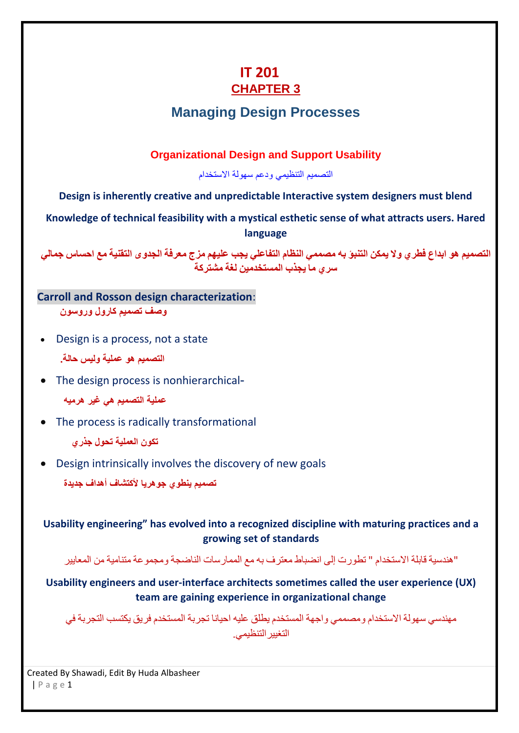# **IT 201 CHAPTER 3**

# **Managing Design Processes**

# **Organizational Design and Support Usability**

التصميم التنظيمي ودعم سهولة االستخدام

**Design is inherently creative and unpredictable Interactive system designers must blend**

**Knowledge of technical feasibility with a mystical esthetic sense of what attracts users. Hared language**

التصميم هو ابداع فطري ولا يمكن التنبؤ به مصممي النظام التفاعلي يجب عليهم مزج معرفة الجدوى التقنية مع احساس جمالي **سري ما يجذب المستخدمين لغة مشتركة**

# **Carroll and Rosson design characterization**: **وصف تصميم كارول وروسون**

- Design is a process, not a state **التصميم هو عملية وليس حالة.**
- The design process is nonhierarchical-
	- **هرميه غير هي التصميم عملية**
- The process is radically transformational
	- **تكون العملية تحول جذري**
- Design intrinsically involves the discovery of new goals

**تصميم ينطوي جوهريا ألكتشاف أهداف جديدة**

**Usability engineering" has evolved into a recognized discipline with maturing practices and a growing set of standards**

"هندسية قابلة االستخدام " تطورت إلى انضباط معترف به مع الممارسات الناضجة ومجموعة متنامية من المعايير

**Usability engineers and user-interface architects sometimes called the user experience (UX) team are gaining experience in organizational change**

مهندسي سهولة االستخدام ومصممي واجهة المستخدم يطلق عليه احيانا تجربة المستخدم فريق يكتسب التجربة في التغيير التنظيمي.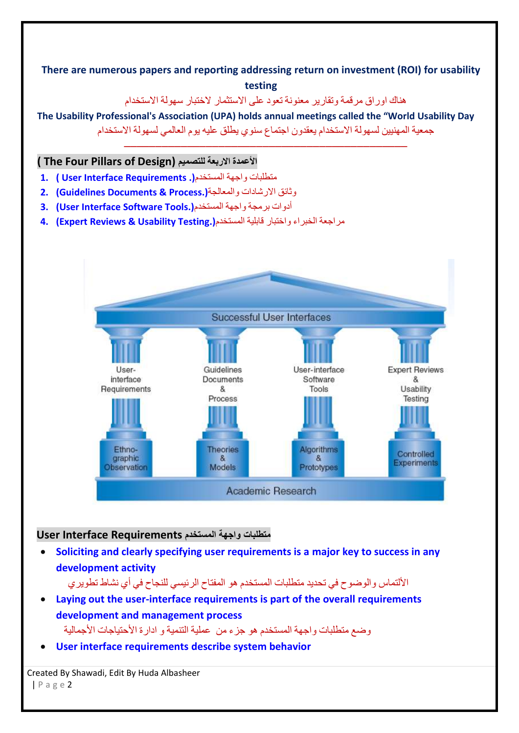# **There are numerous papers and reporting addressing return on investment (ROI) for usability testing**

هناك اوراق مرقمة وتقارير معنونة تعود على االستثمار الختبار سهولة االستخدام

–––––––––––––––––––––––––––––––––––––––––––––

**The Usability Professional's Association (UPA) holds annual meetings called the "World Usability Day** جمعية المهنيين لسهولة االستخدام يعقدون اجتماع سنوي يطلق عليه يوم العالمي لسهولة االستخدام

# **( The Four Pillars of Design( للتصميم االربعة األعمدة**

- متطلبات واجهة المستخدم**(. Requirements Interface User ) 1.**
- وثائق االرشادات والمعالجة**(.Process & Documents Guidelines (2.**
- أدوات برمجة واجهة المستخدم**(.Tools Software Interface User (3.**
- مراجعة الخبراء واختبار قابلية المستخدم**(.Testing Usability & Reviews Expert (4.**



# **متطلبات واجهة المستخدم Requirements Interface User**

- **Soliciting and clearly specifying user requirements is a major key to success in any development activity** األلتماس والوضوح في تحديد متطلبات المستخدم هو المفتاح الرئيسي للنجاح في أي نشاط تطويري
- **Laying out the user-interface requirements is part of the overall requirements development and management process** وضع متطلبات واجهة المستخدم هو جزء من عملية التنمية و ادارة األحتياجات األجمالية
- **User interface requirements describe system behavior**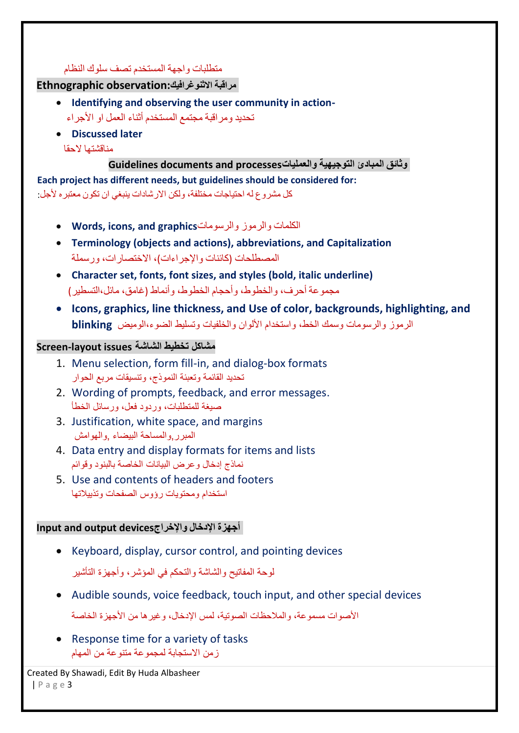## متطلبات واجهة المستخدم تصف سلوك النظام

#### **مراقبة االثنوغرافيك:observation Ethnographic**

- **Identifying and observing the user community in action-**تحديد ومراقبة مجتمع المستخدم أثناء العمل او الأجراء
- **Discussed later** مناقشتها الحقا

#### **وثائق المبادئ التوجيهية والعملياتprocesses and documents Guidelines**

**Each project has different needs, but guidelines should be considered for:** كل مشروع له احتياجات مختلفة، ولكن الارشادات ينبغي ان تكون معتبره لأجل:

- **Words, icons, and graphics**والرسومات والرموز الكلمات
- **Terminology (objects and actions), abbreviations, and Capitalization** المصطلحات (كائنات والإجراءات)، الاختصار ات، ورسملة
- **Character set, fonts, font sizes, and styles (bold, italic underline)** مجمو عة أحر ف، و الخطوط، و أحجام الخطوط، و أنماط (غامق، مائل،التسطير )
- **Icons, graphics, line thickness, and Use of color, backgrounds, highlighting, and**  الرموز والرسومات وسمك الخط، واستخدام األلوان والخلفيات وتسليط الضوء،الوميض **blinking**

## **مشاكل تخطيط الشاشة issues layout-Screen**

- 1. Menu selection, form fill-in, and dialog-box formats تحديد القائمة وتعبئة النموذج، وتنسيقات مربع الحوار
- 2. Wording of prompts, feedback, and error messages. صيغة للمتطلبات، وردود فعل، ورسائل الخطأ
- 3. Justification, white space, and margins المبرر,والمساحة البيضاء ,والهوامش
- 4. Data entry and display formats for items and lists نماذج إدخال وعرض البيانات الخاصة بالبنود وقوائم
- 5. Use and contents of headers and footers استخدام ومحتويات رؤوس الصفحات وتذييالتها

## **Input and output devicesواإلخراج اإلدخال أجهزة**

- Keyboard, display, cursor control, and pointing devices لوحة المفاتيح والشاشة والتحكم في المؤشر، وأجهزة التأشير
- Audible sounds, voice feedback, touch input, and other special devices الأصوات مسموعة، والملاحظات الصوتية، لمس الإدخال، وغير ها من الأجهزة الخاصة
- Response time for a variety of tasks زمن االستجابة لمجموعة متنوعة من المهام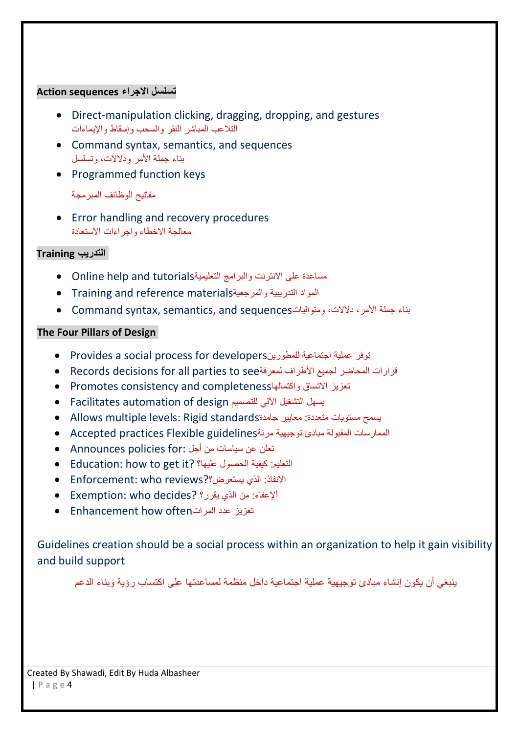## **تسلسل االجراء sequences Action**

- Direct-manipulation clicking, dragging, dropping, and gestures التالعب المباشر النقر والسحب وإسقاط واإليماءات
- Command syntax, semantics, and sequences بناء جملة األمر ودالالت، وتسلسل
- Programmed function keys

مفاتيح الوظائف المبرمجة

**•** Error handling and recovery procedures معالجة االخطاء واجراءات االستعادة

#### **التدريب Training**

- مساعدة على االنترنت والبرامج التعليميةtutorials and help Online
- Training and reference materialsوالمرجعية التدريبية المواد
- Command syntax, semantics, and sequencesومتواليات ،دالالت ،األمر جملة بناء

#### **The Four Pillars of Design**

- Provides a social process for developersللمطورين اجتماعية عملية توفر
- Records decisions for all parties to seeلمعرفة األطراف لجميع المحاضر قرارات
- Promotes consistency and completenessواكتمالها االتساق تعزيز
- Facilitates automation of design للتصميم اآللي التشغيل يسهل
- Allows multiple levels: Rigid standardsجامدة معايير :متعددة مستويات يسمح
- الممارسات المقبولة مبادئ توجيهية مرنةguidelines Flexible practices Accepted
- تعلن عن سياسات من أجل :for policies Announces
- Education: how to get it? عليها؟ الحصول كيفية :التعليم
- Enforcement: who reviews?يستعرض؟ الذي :اإلنفاذ
- اإلعفاء: من الذي يقرر؟ ?decides who :Exemption
- Enhancement how oftenالمرات عدد تعزيز

Guidelines creation should be a social process within an organization to help it gain visibility and build support

ينبغي أن يكون إنشاء مبادئ توجيهية عملية اجتماعية داخل منظمة لمساعدتها على اكتساب رؤية وبناء الدعم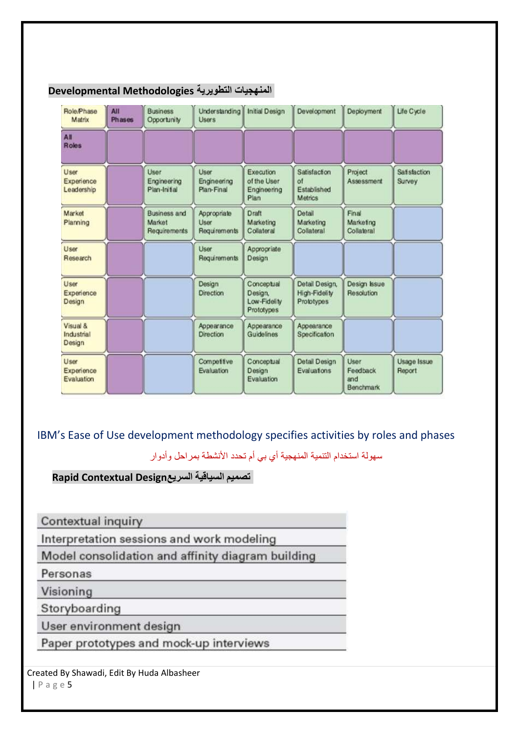| Role/Phase<br>Matrix             | All<br>Phases | <b>Business</b><br>Opportunity                | Understanding<br><b>Users</b>       | Initial Design                                      | Development                                   | Deployment                           | Life Cycle             |
|----------------------------------|---------------|-----------------------------------------------|-------------------------------------|-----------------------------------------------------|-----------------------------------------------|--------------------------------------|------------------------|
| All<br>Roles                     |               |                                               |                                     |                                                     |                                               |                                      |                        |
| User<br>Experience<br>Leadership |               | User<br>Engineering<br>Plan-Initial           | User<br>Engineering<br>Plan-Final   | Execution<br>of the User<br>Engineering<br>Plan     | Satisfaction<br>of<br>Established<br>Metrics  | Project<br>Assessment                | Satisfaction<br>Survey |
| Market<br>Planning               |               | <b>Business and</b><br>Market<br>Requirements | Appropriate<br>User<br>Requirements | Draft<br>Marketing<br>Collateral                    | Detail<br>Marketing<br>Collateral             | Final<br>Marketing<br>Collateral     |                        |
| User<br>Research                 |               |                                               | <b>User</b><br>Requirements         | Appropriate<br>Design                               |                                               |                                      |                        |
| User<br>Experience<br>Design     |               |                                               | Design<br>Direction                 | Conceptual<br>Design.<br>Low-Fidelity<br>Prototypes | Detail Design,<br>High-Fidelity<br>Prototypes | Design Issue<br>Resolution           |                        |
| Visual &<br>Industrial<br>Design |               |                                               | Appearance<br><b>Direction</b>      | Appearance<br>Guidelines                            | Appearance<br>Specification                   |                                      |                        |
| User<br>Experience<br>Evaluation |               |                                               | Competive<br>Evaluation             | Conceptual<br>Design<br>Evaluation                  | Detail Design<br>Evaluations                  | User<br>Feedback<br>and<br>Benchmark | Usage Issue<br>Report  |

# **المنهجيات التطويرية Methodologies Developmental**

IBM's Ease of Use development methodology specifies activities by roles and phases

سهولة استخدام التنمية المنهجية أي بي أم تحدد األنشطة بمراحل وأدوار

**تصميم السياقية السريعDesign Contextual Rapid**

Contextual inquiry

Interpretation sessions and work modeling

Model consolidation and affinity diagram building

Personas

Visioning

Storyboarding

User environment design

Paper prototypes and mock-up interviews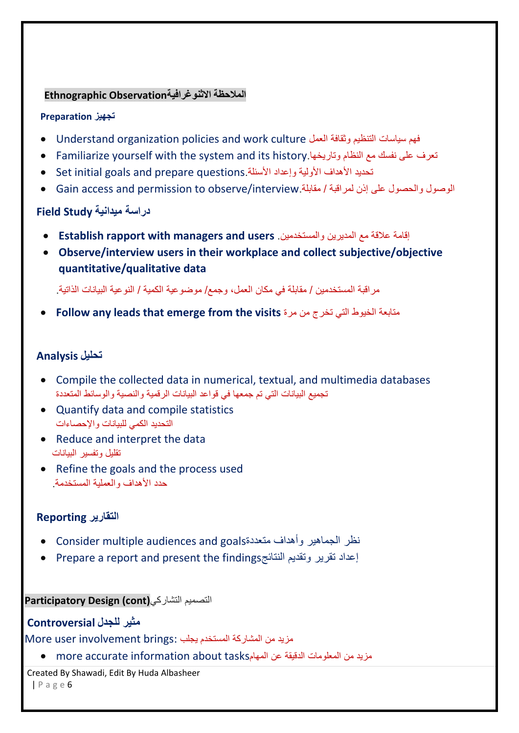## **المالحظة االثنوغرافيةObservation Ethnographic**

## **تجهيز Preparation**

- Understand organization policies and work culture العمل وثقافة التنظيم سياسات فهم
- Familiarize yourself with the system and its history.وتاريخها النظام مع نفسك على تعرف
- Set initial goals and prepare questions.األسئلة وإعداد األولية األهداف تحديد
- Gain access and permission to observe/interview.مقابلة / لمراقبة إذن على والحصول الوصول

# **دراسة ميدانية Study Field**

- **Establish rapport with managers and users** .والمستخدمين المديرين مع عالقة إقامة
- **Observe/interview users in their workplace and collect subjective/objective quantitative/qualitative data**

مراقبة المستخدمين / مقابلة في مكان العمل، وجمع/ موضوعية الكمية / النوعية البيانات الذاتية.

**Follow any leads that emerge from the visits** مرة من تخرج التي الخيوط متابعة

# **تحليل Analysis**

- Compile the collected data in numerical, textual, and multimedia databases تجميع البيانات التي تم جمعها في قواعد البيانات الرقمية والنصية والوسائط المتعددة
- Quantify data and compile statistics التحديد الكمي للبيانات واإلحصاءات
- Reduce and interpret the data تقليل وتفسير البيانات
- Refine the goals and the process used حدد األهداف والعملية المستخدمة.

# **التقارير Reporting**

- Consider multiple audiences and goalsمتعددة وأهداف الجماهير نظر
- Prepare a report and present the findingsالنتائج وتقديم تقرير إعداد

## **Participatory Design (cont)**التشاركي التصميم

# **مثير للجدل Controversial**

مزيد من المشاركة المستخدم يجلب :More user involvement brings

مزيد من المعلومات الدقيقة عن المهامmore accurate information about tasks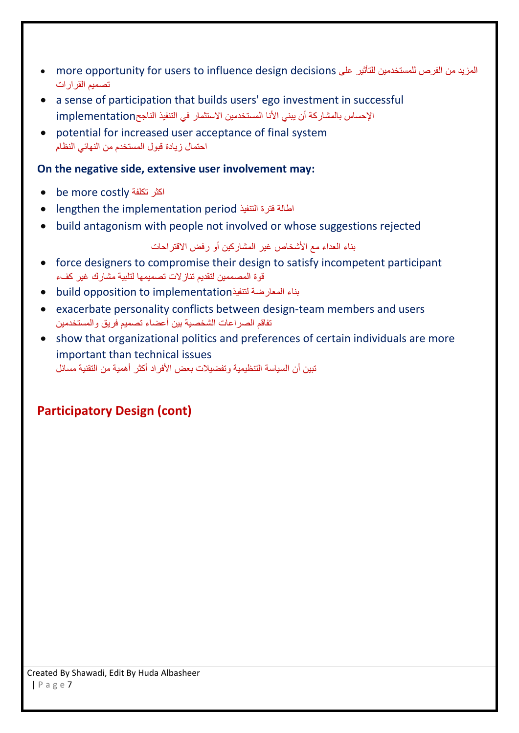- more opportunity for users to influence design decisions على للتأثير للمستخدمين الفرص من المزيد تصميم القرارات
- a sense of participation that builds users' ego investment in successful الإحساس بالمشاركة أن يبني الأنا المستخدمين الاستثمار في التنفيذ الناجحimplementation
- potential for increased user acceptance of final system احتمال زيادة قبول المستخدم من النهائي النظام

# **On the negative side, extensive user involvement may:**

- be more costly تكلفة اكثر
- lengthen the implementation period التنفيذ فترة اطالة
- build antagonism with people not involved or whose suggestions rejected

بناء العداء مع األشخاص غير المشاركين أو رفض االقتراحات

- force designers to compromise their design to satisfy incompetent participant قوة المصممين لتقديم تنازالت تصميمها لتلبية مشارك غير كفء
- build opposition to implementationلتنفيذ المعارضة بناء
- exacerbate personality conflicts between design-team members and users تفاقم الصراعات الشخصية بين أعضاء تصميم فريق والمستخدمين
- show that organizational politics and preferences of certain individuals are more important than technical issues تبين أن السياسة التنظيمية وتفضيلات بعض الأفر اد أكثر أهمية من التقنية مسائل

# **Participatory Design (cont)**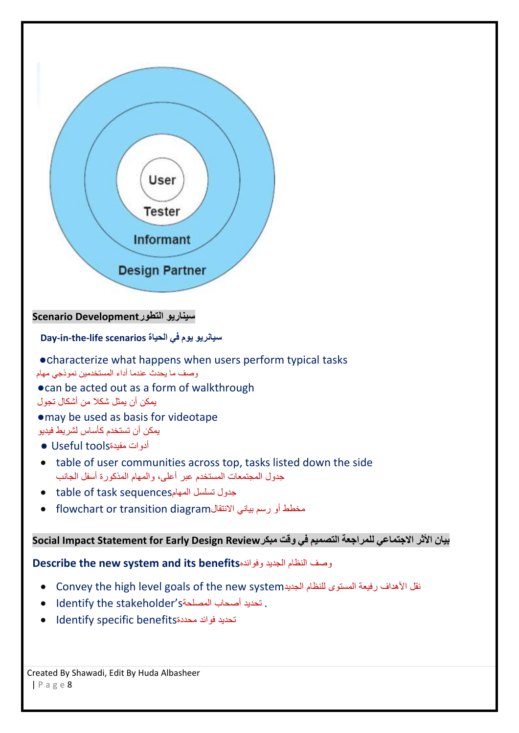

#### **سيناريو التطورDevelopment Scenario**

**Day-in-the-life scenarios الحياة في يوم سيانريو**

●characterize what happens when users perform typical tasks

وصف ما يحدث عندما أداء المستخدمين نموذجي مهام

● can be acted out as a form of walkthrough

## يمكن أن يمثل شكال من أشكال تجول

- ●may be used as basis for videotape يمكن أن تستخدم كأساس لشريط فيديو
- أدوات مفيدةtools Useful●
- table of user communities across top, tasks listed down the side جدول المجتمعات المستخدم عبر أعلى، والمهام المذكورة أسفل الجانب
- table of task sequencesالمهام تسلسل جدول
- مخطط أو رسم بياني االنتقالdiagram transition or flowchart

# **بيان األثر االجتماعي للمراجعة التصميم في وقت مبكرReview Design Early for Statement Impact Social**

**Describe the new system and its benefits**وفوائده الجديد النظام وصف

- Convey the high level goals of the new systemالجديد للنظام المستوى رفيعة األهداف نقل
- Identify the stakeholder'sالمصلحة أصحاب تحديد .
- Identify specific benefitsمحددة فوائد تحديد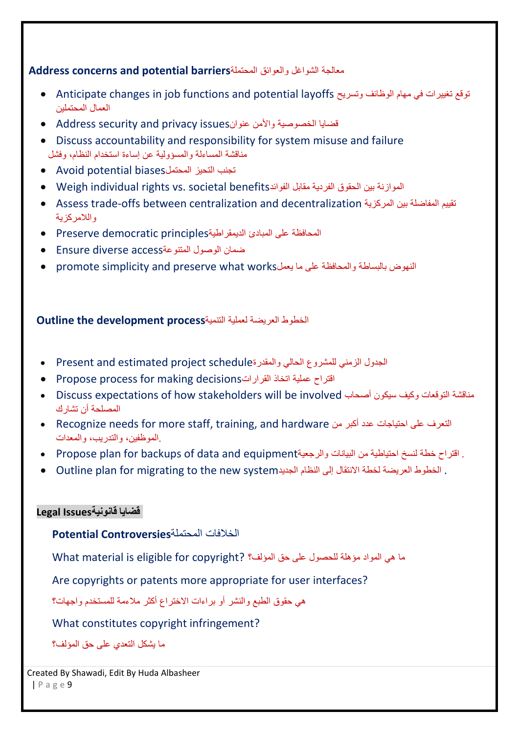# **Address concerns and potential barriers**المحتملة والعوائق الشواغل معالجة

- Anticipate changes in job functions and potential layoffs وتسريح الوظائف مهام في تغييرات توقع العمال المحتملين
- Address security and privacy issuesعنوان واألمن الخصوصية قضايا
- Discuss accountability and responsibility for system misuse and failure مناقشة المساءلة والمسؤولية عن إساءة استخدام النظام، وفشل
- Avoid potential biasesالمحتمل التحيز تجنب
- Weigh individual rights vs. societal benefitsالفوائد مقابل الفردية الحقوق بين الموازنة
- Assess trade-offs between centralization and decentralization المركزية بين المفاضلة تقييم والالمركزية
- المحافظة على المبادئ الديمقراطيةprinciples democratic Preserve
- Ensure diverse accessالمتنوعة الوصول ضمان
- promote simplicity and preserve what worksيعمل ما على والمحافظة بالبساطة النهوض

# الخطوط العريضة لعملية التنمية**process development the Outline**

- Present and estimated project scheduleوالمقدرة الحالي للمشروع الزمني الجدول
- Propose process for making decisionsالقرارات اتخاذ عملية اقتراح
- Discuss expectations of how stakeholders will be involved أصحاب سيكون وكيف التوقعات مناقشة المصلحة أن تشارك
- Recognize needs for more staff, training, and hardware من أكبر عدد احتياجات على التعرف .الموظفين، والتدريب، والمعدات
- Propose plan for backups of data and equipmentوالرجعية البيانات من احتياطية لنسخ خطة اقتراح .
- Outline plan for migrating to the new system الخطوط العريضة لخطة الانتقال إلى النظام الجديد الجنو

## **قضايا قانونيةIssues Legal**

## الخالفات المحتملة**Controversies Potential**

ما هي المواد مؤهلة للحصول على حق المؤلف؟ ?What material is eligible for copyright

Are copyrights or patents more appropriate for user interfaces?

هي حقوق الطبع والنشر أو براءات االختراع أكثر مالءمة للمستخدم واجهات؟

What constitutes copyright infringement?

ما يشكل التعدي على حق المؤلف؟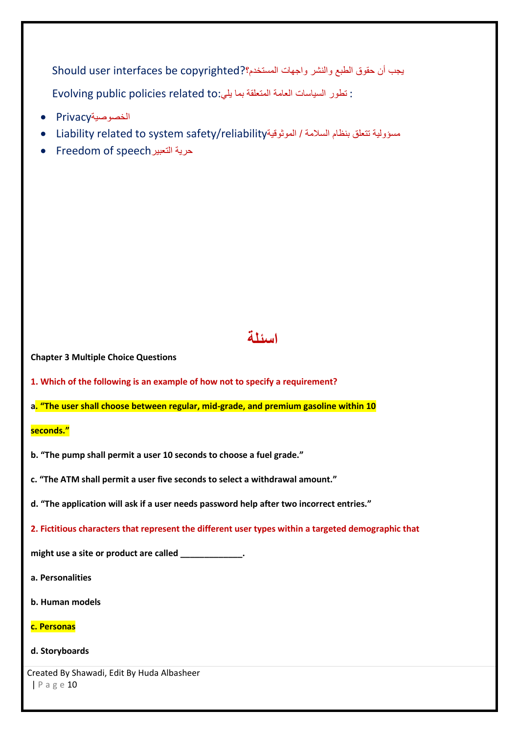يجب أن حقوق الطبع والنشر واجهات المستخدم؟?copyrighted be interfaces user Should : تطور السياسات العامة المتعلقة بما يلي:Evolving public policies related to

- Privacyالخصوصية
- Liability related to system safety/reliabilityالموثوقية / السالمة بنظام تتعلق مسؤولية
- Freedom of speechالتعبير حرية

**اسئلة**

**Chapter 3 Multiple Choice Questions**

**1. Which of the following is an example of how not to specify a requirement?**

**a. "The user shall choose between regular, mid-grade, and premium gasoline within 10**

#### **seconds."**

**b. "The pump shall permit a user 10 seconds to choose a fuel grade."**

- **c. "The ATM shall permit a user five seconds to select a withdrawal amount."**
- **d. "The application will ask if a user needs password help after two incorrect entries."**
- **2. Fictitious characters that represent the different user types within a targeted demographic that**

might use a site or product are called \_\_\_\_\_\_\_\_\_\_\_\_\_.

- **a. Personalities**
- **b. Human models**

#### **c. Personas**

**d. Storyboards**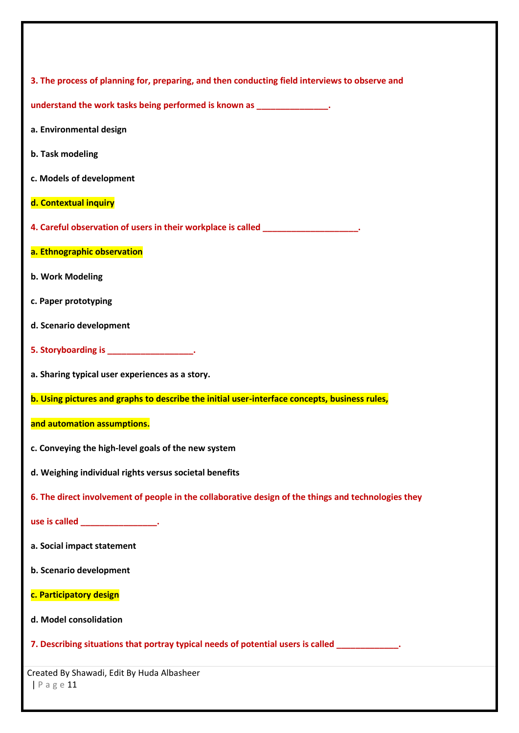**3. The process of planning for, preparing, and then conducting field interviews to observe and**

**understand the work tasks being performed is known as \_\_\_\_\_\_\_\_\_\_\_\_\_\_\_.**

- **a. Environmental design**
- **b. Task modeling**
- **c. Models of development**
- **d. Contextual inquiry**

**4. Careful observation of users in their workplace is called \_\_\_\_\_\_\_\_\_\_\_\_\_\_\_\_\_\_\_\_.**

- **a. Ethnographic observation**
- **b. Work Modeling**
- **c. Paper prototyping**
- **d. Scenario development**
- **5. Storyboarding is \_\_\_\_\_\_\_\_\_\_\_\_\_\_\_\_\_\_.**
- **a. Sharing typical user experiences as a story.**
- **b. Using pictures and graphs to describe the initial user-interface concepts, business rules,**

#### **and automation assumptions.**

- **c. Conveying the high-level goals of the new system**
- **d. Weighing individual rights versus societal benefits**
- **6. The direct involvement of people in the collaborative design of the things and technologies they**

#### **use is called \_\_\_\_\_\_\_\_\_\_\_\_\_\_\_\_\_.**

- **a. Social impact statement**
- **b. Scenario development**
- **c. Participatory design**
- **d. Model consolidation**

**7. Describing situations that portray typical needs of potential users is called \_\_\_\_\_\_\_\_\_\_\_\_\_.**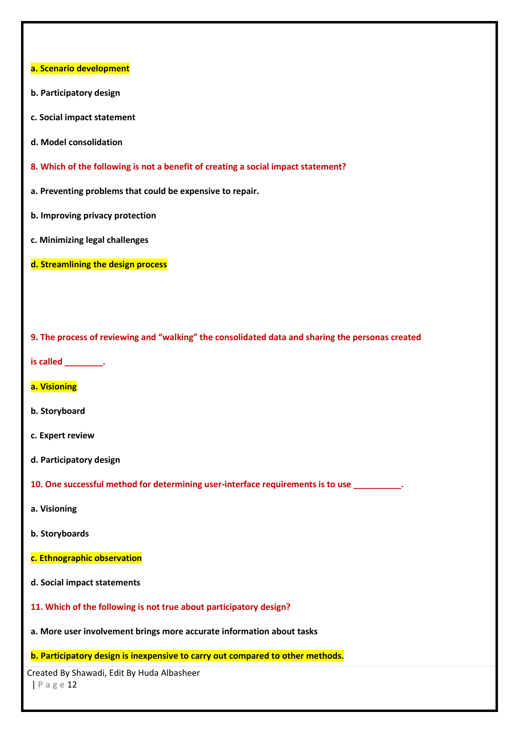| a. Scenario development                                                                          |  |  |  |  |  |  |
|--------------------------------------------------------------------------------------------------|--|--|--|--|--|--|
| b. Participatory design                                                                          |  |  |  |  |  |  |
| c. Social impact statement                                                                       |  |  |  |  |  |  |
| d. Model consolidation                                                                           |  |  |  |  |  |  |
| 8. Which of the following is not a benefit of creating a social impact statement?                |  |  |  |  |  |  |
| a. Preventing problems that could be expensive to repair.                                        |  |  |  |  |  |  |
| b. Improving privacy protection                                                                  |  |  |  |  |  |  |
| c. Minimizing legal challenges                                                                   |  |  |  |  |  |  |
| d. Streamlining the design process                                                               |  |  |  |  |  |  |
|                                                                                                  |  |  |  |  |  |  |
|                                                                                                  |  |  |  |  |  |  |
| 9. The process of reviewing and "walking" the consolidated data and sharing the personas created |  |  |  |  |  |  |
|                                                                                                  |  |  |  |  |  |  |
| a. Visioning                                                                                     |  |  |  |  |  |  |
| b. Storyboard                                                                                    |  |  |  |  |  |  |
| c. Expert review                                                                                 |  |  |  |  |  |  |
| d. Participatory design                                                                          |  |  |  |  |  |  |
| 10. One successful method for determining user-interface requirements is to use __________.      |  |  |  |  |  |  |
| a. Visioning                                                                                     |  |  |  |  |  |  |
| b. Storyboards                                                                                   |  |  |  |  |  |  |
| c. Ethnographic observation                                                                      |  |  |  |  |  |  |
| d. Social impact statements                                                                      |  |  |  |  |  |  |
| 11. Which of the following is not true about participatory design?                               |  |  |  |  |  |  |
| a. More user involvement brings more accurate information about tasks                            |  |  |  |  |  |  |
| b. Participatory design is inexpensive to carry out compared to other methods.                   |  |  |  |  |  |  |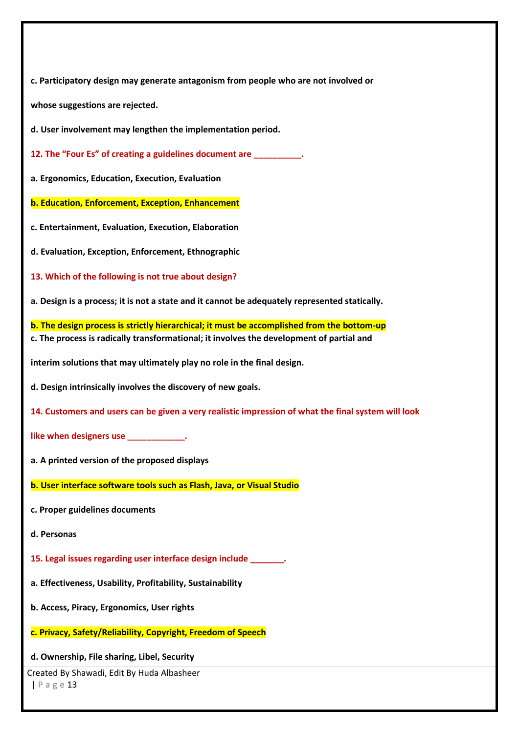**c. Participatory design may generate antagonism from people who are not involved or**

**whose suggestions are rejected.**

**d. User involvement may lengthen the implementation period.**

**12. The "Four Es" of creating a guidelines document are \_\_\_\_\_\_\_\_\_\_.**

**a. Ergonomics, Education, Execution, Evaluation**

**b. Education, Enforcement, Exception, Enhancement**

**c. Entertainment, Evaluation, Execution, Elaboration**

**d. Evaluation, Exception, Enforcement, Ethnographic**

**13. Which of the following is not true about design?**

**a. Design is a process; it is not a state and it cannot be adequately represented statically.**

**b. The design process is strictly hierarchical; it must be accomplished from the bottom-up**

**c. The process is radically transformational; it involves the development of partial and**

**interim solutions that may ultimately play no role in the final design.**

**d. Design intrinsically involves the discovery of new goals.**

**14. Customers and users can be given a very realistic impression of what the final system will look**

**like when designers use \_\_\_\_\_\_\_\_\_\_\_\_.**

**a. A printed version of the proposed displays**

**b. User interface software tools such as Flash, Java, or Visual Studio**

- **c. Proper guidelines documents**
- **d. Personas**
- **15. Legal issues regarding user interface design include \_\_\_\_\_\_\_.**
- **a. Effectiveness, Usability, Profitability, Sustainability**
- **b. Access, Piracy, Ergonomics, User rights**
- **c. Privacy, Safety/Reliability, Copyright, Freedom of Speech**

**d. Ownership, File sharing, Libel, Security**